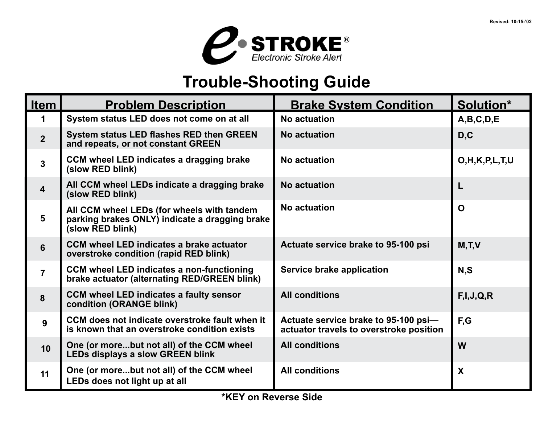

## **Trouble-Shooting Guide**

| <b>Item</b>             | <b>Problem Description</b>                                                                                       | <b>Brake System Condition</b>                                                   | Solution*           |
|-------------------------|------------------------------------------------------------------------------------------------------------------|---------------------------------------------------------------------------------|---------------------|
| 1                       | System status LED does not come on at all                                                                        | <b>No actuation</b>                                                             | A,B,C,D,E           |
| $\overline{2}$          | <b>System status LED flashes RED then GREEN</b><br>and repeats, or not constant GREEN                            | <b>No actuation</b>                                                             | D, C                |
| $\mathbf{3}$            | CCM wheel LED indicates a dragging brake<br>(slow RED blink)                                                     | No actuation                                                                    | O, H, K, P, L, T, U |
| $\overline{\mathbf{4}}$ | All CCM wheel LEDs indicate a dragging brake<br>(slow RED blink)                                                 | No actuation                                                                    | L                   |
| $5\phantom{1}$          | All CCM wheel LEDs (for wheels with tandem<br>parking brakes ONLY) indicate a dragging brake<br>(slow RED blink) | No actuation                                                                    | $\Omega$            |
| 6                       | <b>CCM wheel LED indicates a brake actuator</b><br>overstroke condition (rapid RED blink)                        | Actuate service brake to 95-100 psi                                             | M, T, V             |
| $\overline{7}$          | <b>CCM wheel LED indicates a non-functioning</b><br>brake actuator (alternating RED/GREEN blink)                 | Service brake application                                                       | N, S                |
| 8                       | <b>CCM wheel LED indicates a faulty sensor</b><br>condition (ORANGE blink)                                       | <b>All conditions</b>                                                           | F, I, J, Q, R       |
| 9                       | CCM does not indicate overstroke fault when it<br>is known that an overstroke condition exists                   | Actuate service brake to 95-100 psi-<br>actuator travels to overstroke position | F,G                 |
| 10                      | One (or morebut not all) of the CCM wheel<br><b>LEDs displays a slow GREEN blink</b>                             | <b>All conditions</b>                                                           | W                   |
| 11                      | One (or morebut not all) of the CCM wheel<br>LEDs does not light up at all                                       | <b>All conditions</b>                                                           | X                   |